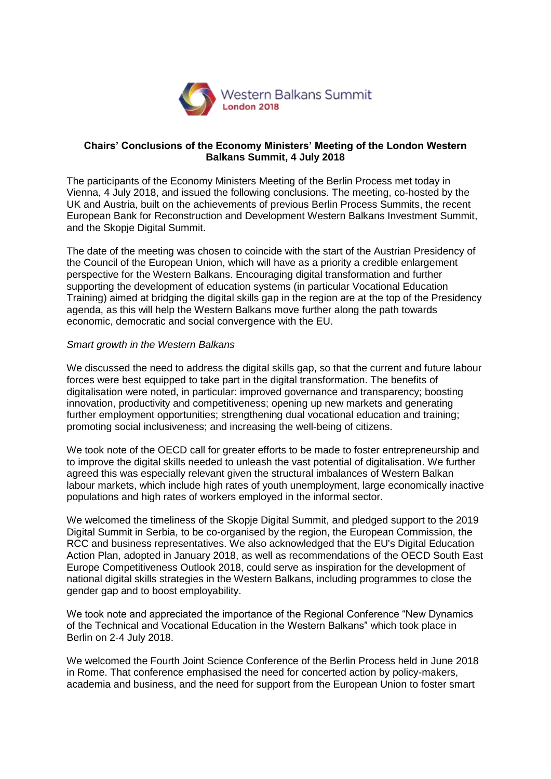

# **Chairs' Conclusions of the Economy Ministers' Meeting of the London Western Balkans Summit, 4 July 2018**

The participants of the Economy Ministers Meeting of the Berlin Process met today in Vienna, 4 July 2018, and issued the following conclusions. The meeting, co-hosted by the UK and Austria, built on the achievements of previous Berlin Process Summits, the recent European Bank for Reconstruction and Development Western Balkans Investment Summit, and the Skopje Digital Summit.

The date of the meeting was chosen to coincide with the start of the Austrian Presidency of the Council of the European Union, which will have as a priority a credible enlargement perspective for the Western Balkans. Encouraging digital transformation and further supporting the development of education systems (in particular Vocational Education Training) aimed at bridging the digital skills gap in the region are at the top of the Presidency agenda, as this will help the Western Balkans move further along the path towards economic, democratic and social convergence with the EU.

## *Smart growth in the Western Balkans*

We discussed the need to address the digital skills gap, so that the current and future labour forces were best equipped to take part in the digital transformation. The benefits of digitalisation were noted, in particular: improved governance and transparency; boosting innovation, productivity and competitiveness; opening up new markets and generating further employment opportunities; strengthening dual vocational education and training; promoting social inclusiveness; and increasing the well-being of citizens.

We took note of the OECD call for greater efforts to be made to foster entrepreneurship and to improve the digital skills needed to unleash the vast potential of digitalisation. We further agreed this was especially relevant given the structural imbalances of Western Balkan labour markets, which include high rates of youth unemployment, large economically inactive populations and high rates of workers employed in the informal sector.

We welcomed the timeliness of the Skopje Digital Summit, and pledged support to the 2019 Digital Summit in Serbia, to be co-organised by the region, the European Commission, the RCC and business representatives. We also acknowledged that the EU's Digital Education Action Plan, adopted in January 2018, as well as recommendations of the OECD South East Europe Competitiveness Outlook 2018, could serve as inspiration for the development of national digital skills strategies in the Western Balkans, including programmes to close the gender gap and to boost employability.

We took note and appreciated the importance of the Regional Conference "New Dynamics of the Technical and Vocational Education in the Western Balkans" which took place in Berlin on 2-4 July 2018.

We welcomed the Fourth Joint Science Conference of the Berlin Process held in June 2018 in Rome. That conference emphasised the need for concerted action by policy-makers, academia and business, and the need for support from the European Union to foster smart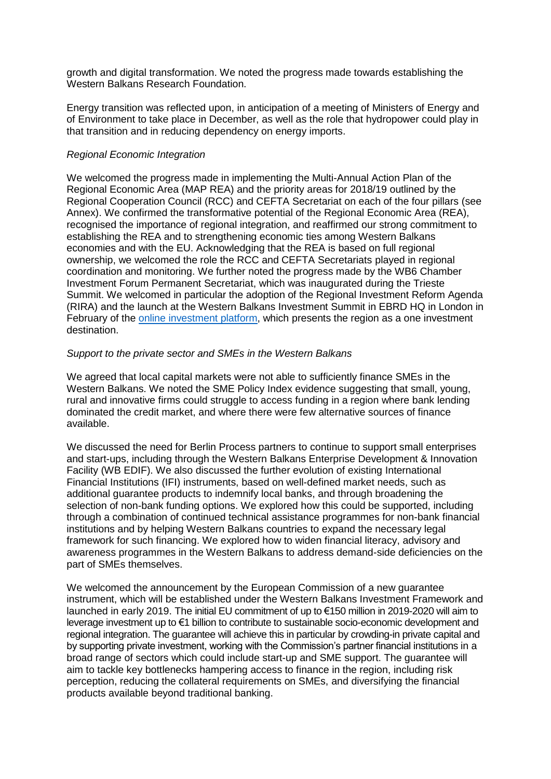growth and digital transformation. We noted the progress made towards establishing the Western Balkans Research Foundation.

Energy transition was reflected upon, in anticipation of a meeting of Ministers of Energy and of Environment to take place in December, as well as the role that hydropower could play in that transition and in reducing dependency on energy imports.

# *Regional Economic Integration*

We welcomed the progress made in implementing the Multi-Annual Action Plan of the Regional Economic Area (MAP REA) and the priority areas for 2018/19 outlined by the Regional Cooperation Council (RCC) and CEFTA Secretariat on each of the four pillars (see Annex). We confirmed the transformative potential of the Regional Economic Area (REA), recognised the importance of regional integration, and reaffirmed our strong commitment to establishing the REA and to strengthening economic ties among Western Balkans economies and with the EU. Acknowledging that the REA is based on full regional ownership, we welcomed the role the RCC and CEFTA Secretariats played in regional coordination and monitoring. We further noted the progress made by the WB6 Chamber Investment Forum Permanent Secretariat, which was inaugurated during the Trieste Summit. We welcomed in particular the adoption of the Regional Investment Reform Agenda (RIRA) and the launch at the Western Balkans Investment Summit in EBRD HQ in London in February of the [online investment platform,](http://www.investinsee.com/) which presents the region as a one investment destination.

## *Support to the private sector and SMEs in the Western Balkans*

We agreed that local capital markets were not able to sufficiently finance SMEs in the Western Balkans. We noted the SME Policy Index evidence suggesting that small, young, rural and innovative firms could struggle to access funding in a region where bank lending dominated the credit market, and where there were few alternative sources of finance available.

We discussed the need for Berlin Process partners to continue to support small enterprises and start-ups, including through the Western Balkans Enterprise Development & Innovation Facility (WB EDIF). We also discussed the further evolution of existing International Financial Institutions (IFI) instruments, based on well-defined market needs, such as additional guarantee products to indemnify local banks, and through broadening the selection of non-bank funding options. We explored how this could be supported, including through a combination of continued technical assistance programmes for non-bank financial institutions and by helping Western Balkans countries to expand the necessary legal framework for such financing. We explored how to widen financial literacy, advisory and awareness programmes in the Western Balkans to address demand-side deficiencies on the part of SMEs themselves.

We welcomed the announcement by the European Commission of a new guarantee instrument, which will be established under the Western Balkans Investment Framework and launched in early 2019. The initial EU commitment of up to €150 million in 2019-2020 will aim to leverage investment up to €1 billion to contribute to sustainable socio-economic development and regional integration. The guarantee will achieve this in particular by crowding-in private capital and by supporting private investment, working with the Commission's partner financial institutions in a broad range of sectors which could include start-up and SME support. The guarantee will aim to tackle key bottlenecks hampering access to finance in the region, including risk perception, reducing the collateral requirements on SMEs, and diversifying the financial products available beyond traditional banking.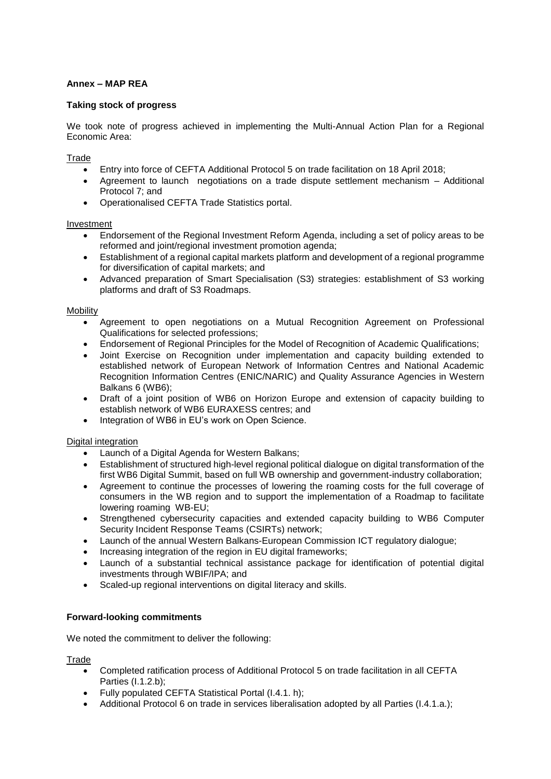# **Annex – MAP REA**

## **Taking stock of progress**

We took note of progress achieved in implementing the Multi-Annual Action Plan for a Regional Economic Area:

**Trade** 

- Entry into force of CEFTA Additional Protocol 5 on trade facilitation on 18 April 2018;
- Agreement to launch negotiations on a trade dispute settlement mechanism Additional Protocol 7; and
- Operationalised CEFTA Trade Statistics portal.

### Investment

- Endorsement of the Regional Investment Reform Agenda, including a set of policy areas to be reformed and joint/regional investment promotion agenda;
- Establishment of a regional capital markets platform and development of a regional programme for diversification of capital markets; and
- Advanced preparation of Smart Specialisation (S3) strategies: establishment of S3 working platforms and draft of S3 Roadmaps.

#### Mobility

- Agreement to open negotiations on a Mutual Recognition Agreement on Professional Qualifications for selected professions;
- Endorsement of Regional Principles for the Model of Recognition of Academic Qualifications;
- Joint Exercise on Recognition under implementation and capacity building extended to established network of European Network of Information Centres and National Academic Recognition Information Centres (ENIC/NARIC) and Quality Assurance Agencies in Western Balkans 6 (WB6);
- Draft of a joint position of WB6 on Horizon Europe and extension of capacity building to establish network of WB6 EURAXESS centres; and
- Integration of WB6 in EU's work on Open Science.

## Digital integration

- Launch of a Digital Agenda for Western Balkans;
- Establishment of structured high-level regional political dialogue on digital transformation of the first WB6 Digital Summit, based on full WB ownership and government-industry collaboration;
- Agreement to continue the processes of lowering the roaming costs for the full coverage of consumers in the WB region and to support the implementation of a Roadmap to facilitate lowering roaming WB-EU;
- Strengthened cybersecurity capacities and extended capacity building to WB6 Computer Security Incident Response Teams (CSIRTs) network;
- Launch of the annual Western Balkans-European Commission ICT regulatory dialogue;
- Increasing integration of the region in EU digital frameworks;
- Launch of a substantial technical assistance package for identification of potential digital investments through WBIF/IPA; and
- Scaled-up regional interventions on digital literacy and skills.

#### **Forward-looking commitments**

We noted the commitment to deliver the following:

**Trade** 

- Completed ratification process of Additional Protocol 5 on trade facilitation in all CEFTA Parties (I.1.2.b);
- Fully populated CEFTA Statistical Portal (I.4.1. h);
- Additional Protocol 6 on trade in services liberalisation adopted by all Parties (I.4.1.a.);